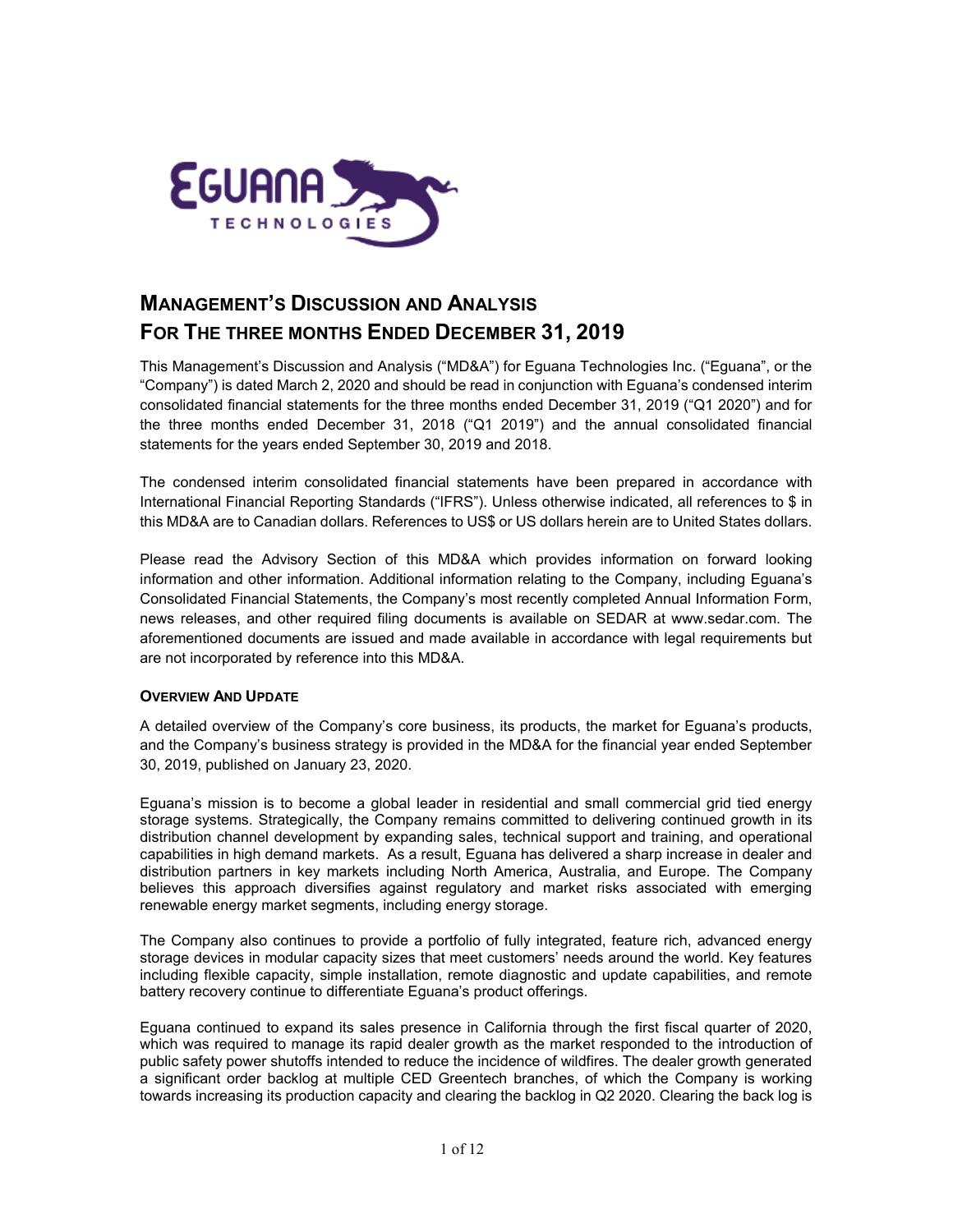

# **MANAGEMENT'S DISCUSSION AND ANALYSIS FOR THE THREE MONTHS ENDED DECEMBER 31, 2019**

This Management's Discussion and Analysis ("MD&A") for Eguana Technologies Inc. ("Eguana", or the "Company") is dated March 2, 2020 and should be read in conjunction with Eguana's condensed interim consolidated financial statements for the three months ended December 31, 2019 ("Q1 2020") and for the three months ended December 31, 2018 ("Q1 2019") and the annual consolidated financial statements for the years ended September 30, 2019 and 2018.

The condensed interim consolidated financial statements have been prepared in accordance with International Financial Reporting Standards ("IFRS"). Unless otherwise indicated, all references to \$ in this MD&A are to Canadian dollars. References to US\$ or US dollars herein are to United States dollars.

Please read the Advisory Section of this MD&A which provides information on forward looking information and other information. Additional information relating to the Company, including Eguana's Consolidated Financial Statements, the Company's most recently completed Annual Information Form, news releases, and other required filing documents is available on SEDAR at [www.sedar.com.](http://www.sedar.com/) The aforementioned documents are issued and made available in accordance with legal requirements but are not incorporated by reference into this MD&A.

#### **OVERVIEW AND UPDATE**

A detailed overview of the Company's core business, its products, the market for Eguana's products, and the Company's business strategy is provided in the MD&A for the financial year ended September 30, 2019, published on January 23, 2020.

Eguana's mission is to become a global leader in residential and small commercial grid tied energy storage systems. Strategically, the Company remains committed to delivering continued growth in its distribution channel development by expanding sales, technical support and training, and operational capabilities in high demand markets. As a result, Eguana has delivered a sharp increase in dealer and distribution partners in key markets including North America, Australia, and Europe. The Company believes this approach diversifies against regulatory and market risks associated with emerging renewable energy market segments, including energy storage.

The Company also continues to provide a portfolio of fully integrated, feature rich, advanced energy storage devices in modular capacity sizes that meet customers' needs around the world. Key features including flexible capacity, simple installation, remote diagnostic and update capabilities, and remote battery recovery continue to differentiate Eguana's product offerings.

Eguana continued to expand its sales presence in California through the first fiscal quarter of 2020, which was required to manage its rapid dealer growth as the market responded to the introduction of public safety power shutoffs intended to reduce the incidence of wildfires. The dealer growth generated a significant order backlog at multiple CED Greentech branches, of which the Company is working towards increasing its production capacity and clearing the backlog in Q2 2020. Clearing the back log is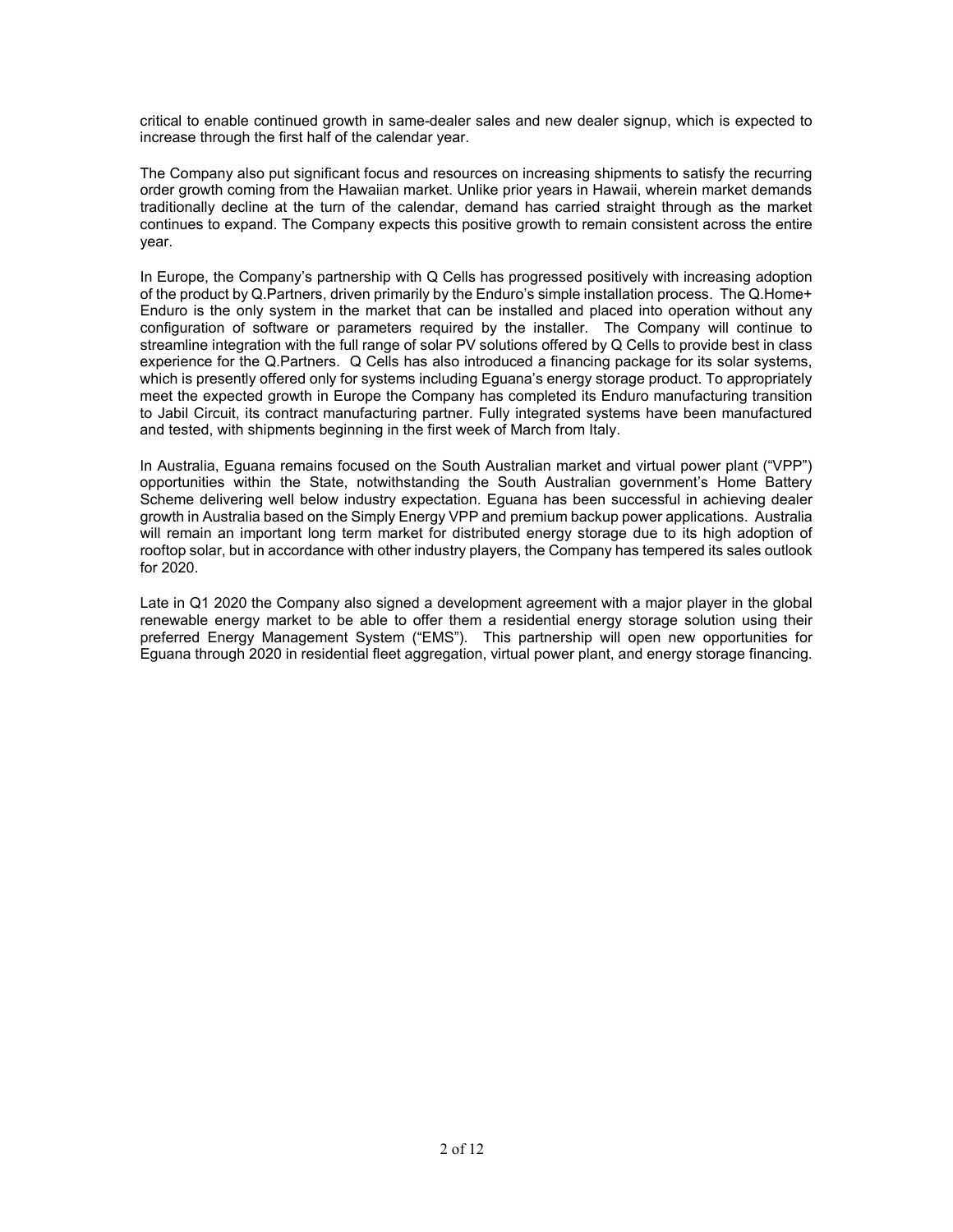critical to enable continued growth in same-dealer sales and new dealer signup, which is expected to increase through the first half of the calendar year.

The Company also put significant focus and resources on increasing shipments to satisfy the recurring order growth coming from the Hawaiian market. Unlike prior years in Hawaii, wherein market demands traditionally decline at the turn of the calendar, demand has carried straight through as the market continues to expand. The Company expects this positive growth to remain consistent across the entire year.

In Europe, the Company's partnership with Q Cells has progressed positively with increasing adoption of the product by Q.Partners, driven primarily by the Enduro's simple installation process. The Q.Home+ Enduro is the only system in the market that can be installed and placed into operation without any configuration of software or parameters required by the installer. The Company will continue to streamline integration with the full range of solar PV solutions offered by Q Cells to provide best in class experience for the Q.Partners. Q Cells has also introduced a financing package for its solar systems, which is presently offered only for systems including Eguana's energy storage product. To appropriately meet the expected growth in Europe the Company has completed its Enduro manufacturing transition to Jabil Circuit, its contract manufacturing partner. Fully integrated systems have been manufactured and tested, with shipments beginning in the first week of March from Italy.

In Australia, Eguana remains focused on the South Australian market and virtual power plant ("VPP") opportunities within the State, notwithstanding the South Australian government's Home Battery Scheme delivering well below industry expectation. Eguana has been successful in achieving dealer growth in Australia based on the Simply Energy VPP and premium backup power applications. Australia will remain an important long term market for distributed energy storage due to its high adoption of rooftop solar, but in accordance with other industry players, the Company has tempered its sales outlook for 2020.

Late in Q1 2020 the Company also signed a development agreement with a major player in the global renewable energy market to be able to offer them a residential energy storage solution using their preferred Energy Management System ("EMS"). This partnership will open new opportunities for Eguana through 2020 in residential fleet aggregation, virtual power plant, and energy storage financing.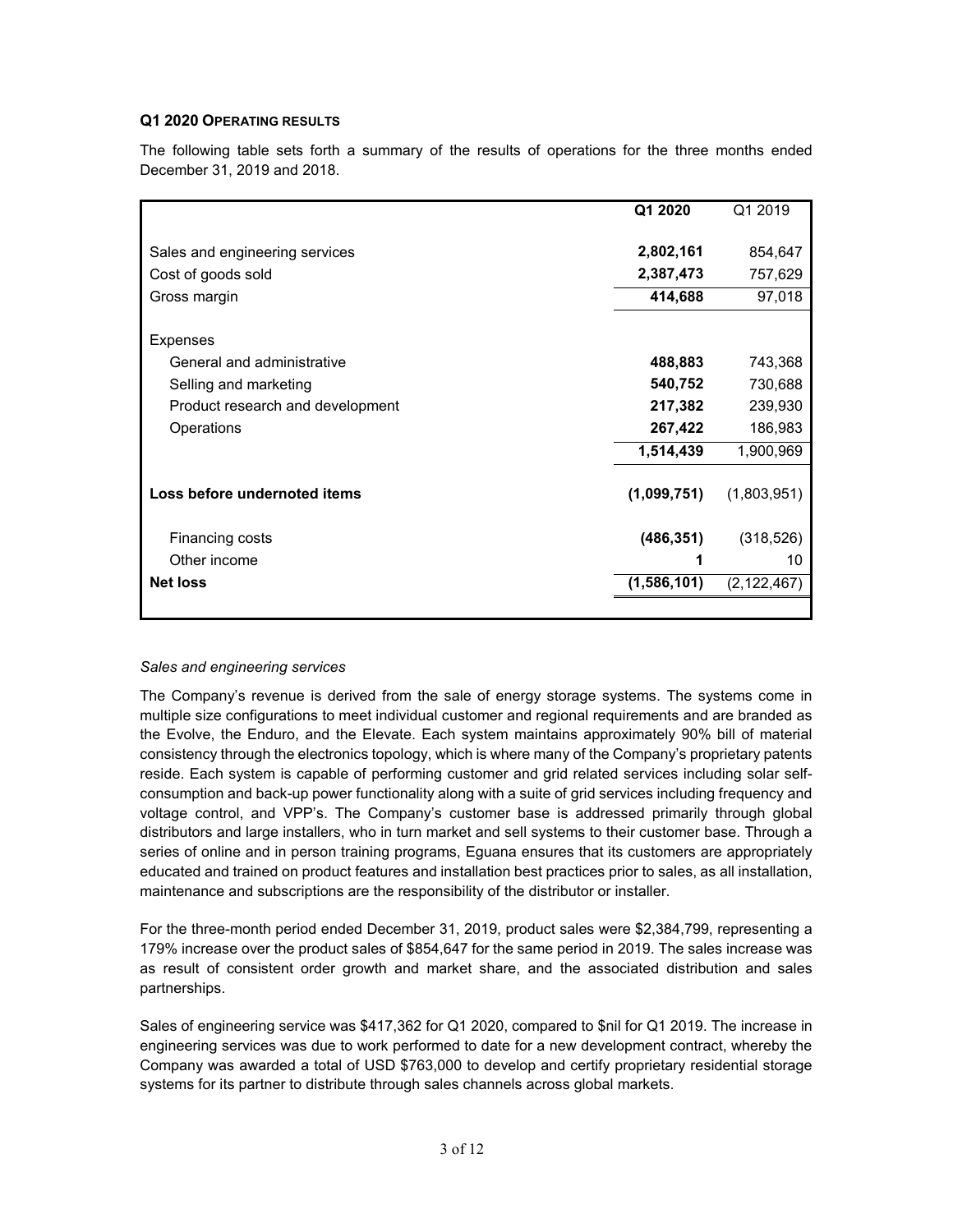# **Q1 2020 OPERATING RESULTS**

The following table sets forth a summary of the results of operations for the three months ended December 31, 2019 and 2018.

|                                        | Q1 2020     | Q1 2019            |
|----------------------------------------|-------------|--------------------|
| Sales and engineering services         | 2,802,161   | 854,647            |
| Cost of goods sold                     | 2,387,473   | 757,629            |
| Gross margin                           | 414,688     | 97,018             |
| Expenses<br>General and administrative | 488,883     |                    |
| Selling and marketing                  | 540,752     | 743,368<br>730,688 |
| Product research and development       | 217,382     | 239,930            |
| Operations                             | 267,422     | 186,983            |
|                                        | 1,514,439   | 1,900,969          |
| Loss before undernoted items           | (1,099,751) | (1,803,951)        |
| Financing costs                        | (486, 351)  | (318, 526)         |
| Other income                           | 1           | 10                 |
| <b>Net loss</b>                        | (1,586,101) | (2, 122, 467)      |
|                                        |             |                    |

#### *Sales and engineering services*

The Company's revenue is derived from the sale of energy storage systems. The systems come in multiple size configurations to meet individual customer and regional requirements and are branded as the Evolve, the Enduro, and the Elevate. Each system maintains approximately 90% bill of material consistency through the electronics topology, which is where many of the Company's proprietary patents reside. Each system is capable of performing customer and grid related services including solar selfconsumption and back-up power functionality along with a suite of grid services including frequency and voltage control, and VPP's. The Company's customer base is addressed primarily through global distributors and large installers, who in turn market and sell systems to their customer base. Through a series of online and in person training programs, Eguana ensures that its customers are appropriately educated and trained on product features and installation best practices prior to sales, as all installation, maintenance and subscriptions are the responsibility of the distributor or installer.

For the three-month period ended December 31, 2019, product sales were \$2,384,799, representing a 179% increase over the product sales of \$854,647 for the same period in 2019. The sales increase was as result of consistent order growth and market share, and the associated distribution and sales partnerships.

Sales of engineering service was \$417,362 for Q1 2020, compared to \$nil for Q1 2019. The increase in engineering services was due to work performed to date for a new development contract, whereby the Company was awarded a total of USD \$763,000 to develop and certify proprietary residential storage systems for its partner to distribute through sales channels across global markets.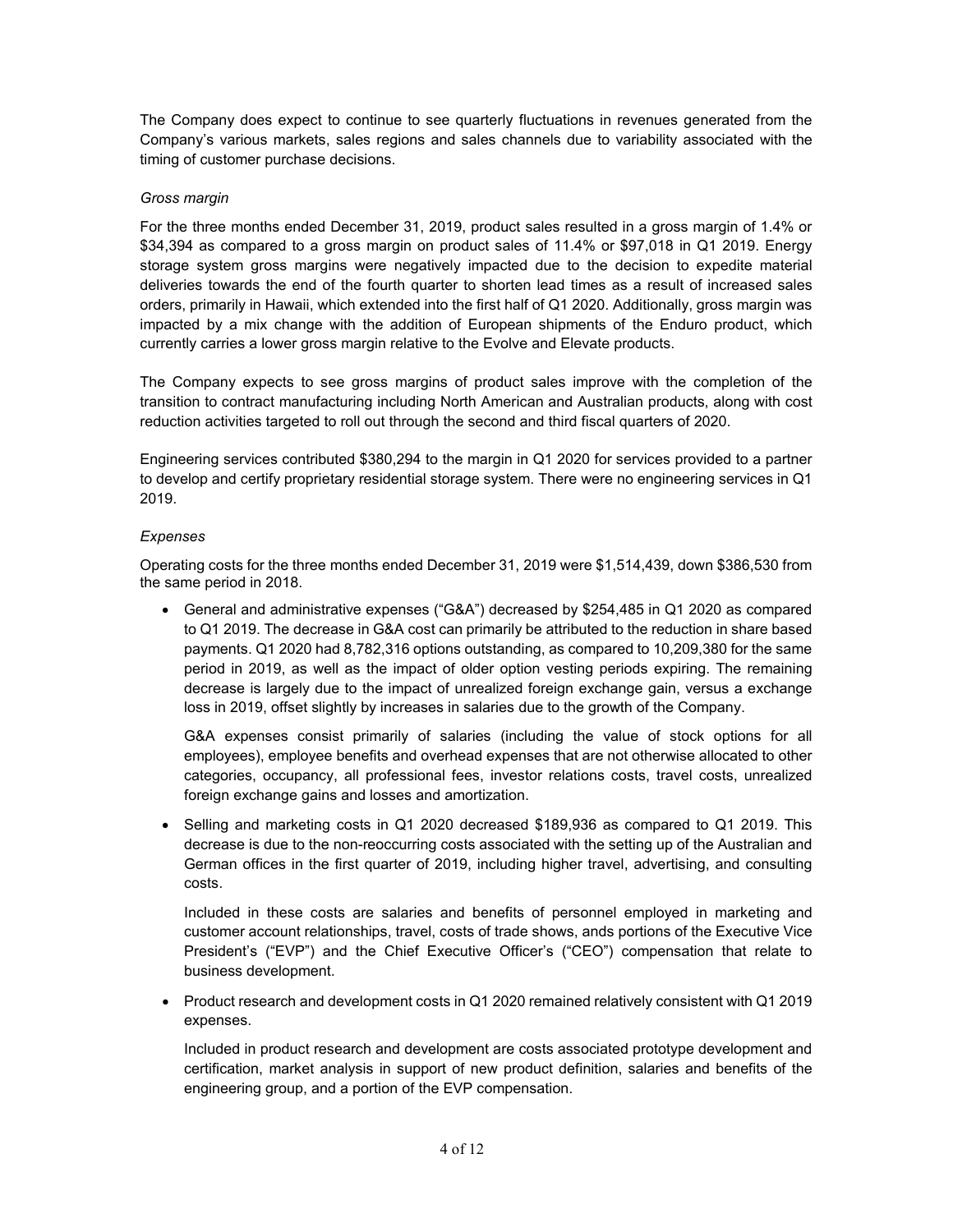The Company does expect to continue to see quarterly fluctuations in revenues generated from the Company's various markets, sales regions and sales channels due to variability associated with the timing of customer purchase decisions.

# *Gross margin*

For the three months ended December 31, 2019, product sales resulted in a gross margin of 1.4% or \$34,394 as compared to a gross margin on product sales of 11.4% or \$97,018 in Q1 2019. Energy storage system gross margins were negatively impacted due to the decision to expedite material deliveries towards the end of the fourth quarter to shorten lead times as a result of increased sales orders, primarily in Hawaii, which extended into the first half of Q1 2020. Additionally, gross margin was impacted by a mix change with the addition of European shipments of the Enduro product, which currently carries a lower gross margin relative to the Evolve and Elevate products.

The Company expects to see gross margins of product sales improve with the completion of the transition to contract manufacturing including North American and Australian products, along with cost reduction activities targeted to roll out through the second and third fiscal quarters of 2020.

Engineering services contributed \$380,294 to the margin in Q1 2020 for services provided to a partner to develop and certify proprietary residential storage system. There were no engineering services in Q1 2019.

# *Expenses*

Operating costs for the three months ended December 31, 2019 were \$1,514,439, down \$386,530 from the same period in 2018.

• General and administrative expenses ("G&A") decreased by \$254,485 in Q1 2020 as compared to Q1 2019. The decrease in G&A cost can primarily be attributed to the reduction in share based payments. Q1 2020 had 8,782,316 options outstanding, as compared to 10,209,380 for the same period in 2019, as well as the impact of older option vesting periods expiring. The remaining decrease is largely due to the impact of unrealized foreign exchange gain, versus a exchange loss in 2019, offset slightly by increases in salaries due to the growth of the Company.

G&A expenses consist primarily of salaries (including the value of stock options for all employees), employee benefits and overhead expenses that are not otherwise allocated to other categories, occupancy, all professional fees, investor relations costs, travel costs, unrealized foreign exchange gains and losses and amortization.

• Selling and marketing costs in Q1 2020 decreased \$189,936 as compared to Q1 2019. This decrease is due to the non-reoccurring costs associated with the setting up of the Australian and German offices in the first quarter of 2019, including higher travel, advertising, and consulting costs.

Included in these costs are salaries and benefits of personnel employed in marketing and customer account relationships, travel, costs of trade shows, ands portions of the Executive Vice President's ("EVP") and the Chief Executive Officer's ("CEO") compensation that relate to business development.

• Product research and development costs in Q1 2020 remained relatively consistent with Q1 2019 expenses.

Included in product research and development are costs associated prototype development and certification, market analysis in support of new product definition, salaries and benefits of the engineering group, and a portion of the EVP compensation.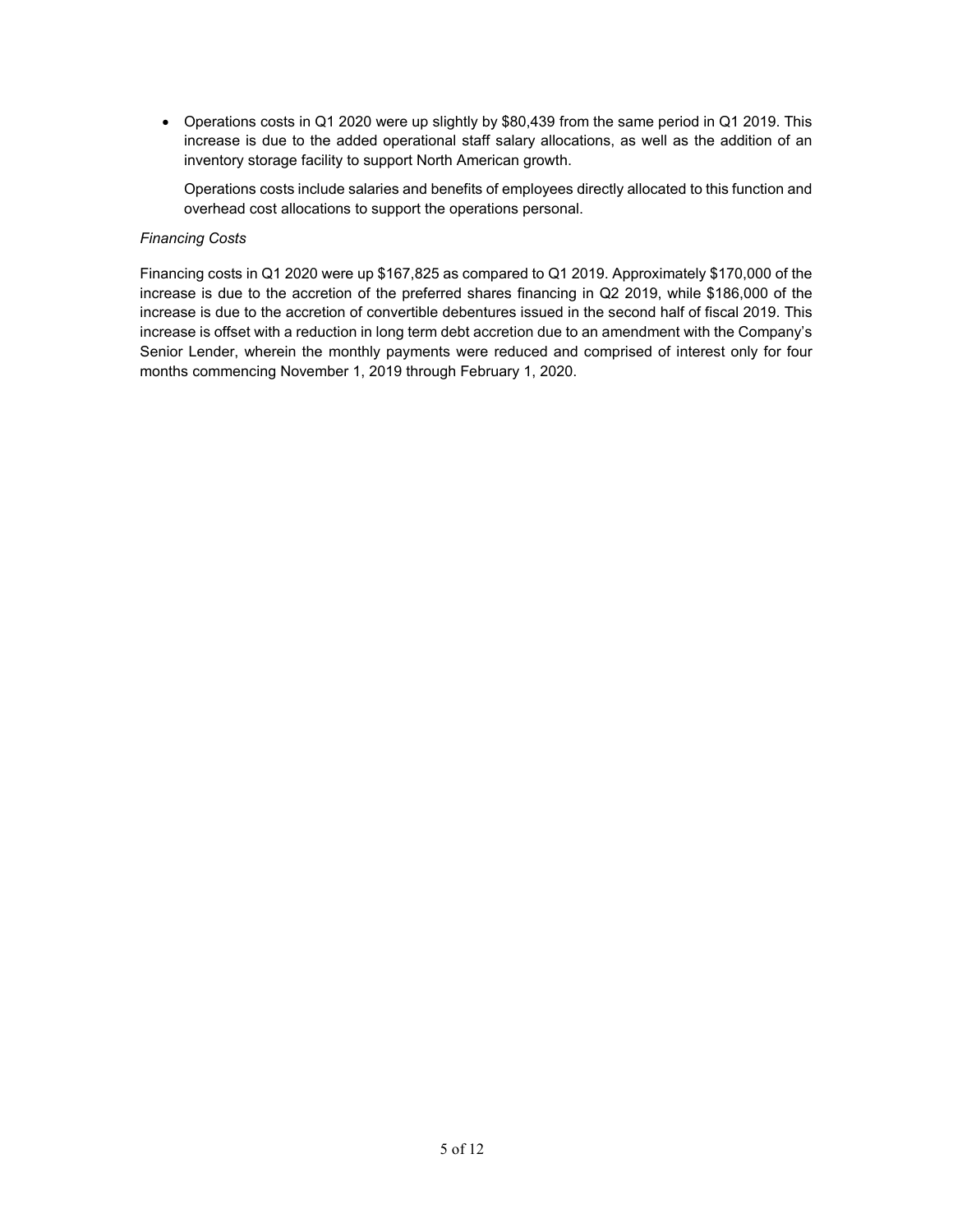• Operations costs in Q1 2020 were up slightly by \$80,439 from the same period in Q1 2019. This increase is due to the added operational staff salary allocations, as well as the addition of an inventory storage facility to support North American growth.

Operations costs include salaries and benefits of employees directly allocated to this function and overhead cost allocations to support the operations personal.

#### *Financing Costs*

Financing costs in Q1 2020 were up \$167,825 as compared to Q1 2019. Approximately \$170,000 of the increase is due to the accretion of the preferred shares financing in Q2 2019, while \$186,000 of the increase is due to the accretion of convertible debentures issued in the second half of fiscal 2019. This increase is offset with a reduction in long term debt accretion due to an amendment with the Company's Senior Lender, wherein the monthly payments were reduced and comprised of interest only for four months commencing November 1, 2019 through February 1, 2020.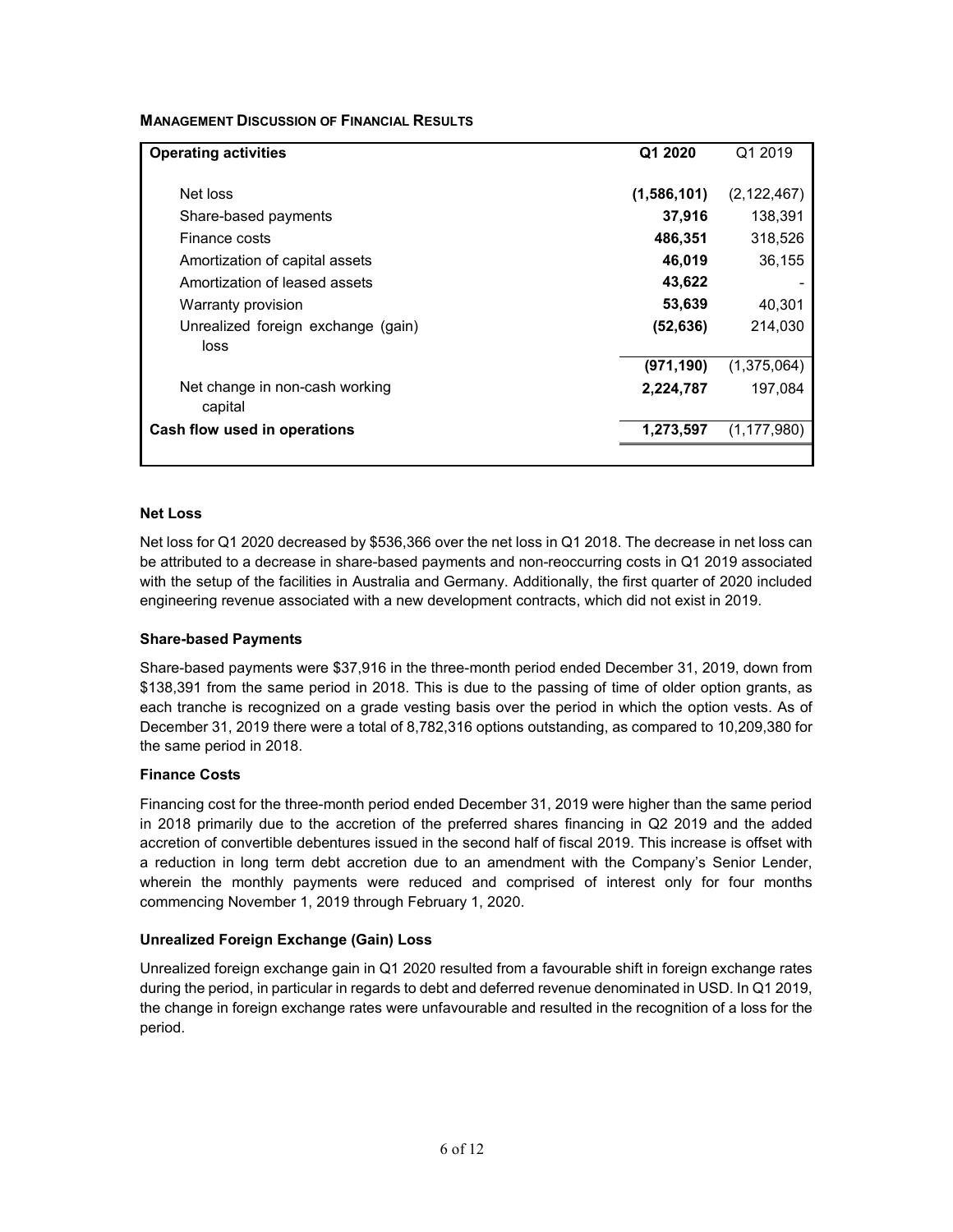# **MANAGEMENT DISCUSSION OF FINANCIAL RESULTS**

| <b>Operating activities</b>                | Q1 2020     | Q1 2019       |
|--------------------------------------------|-------------|---------------|
| Net loss                                   | (1,586,101) | (2, 122, 467) |
| Share-based payments                       | 37,916      | 138.391       |
| Finance costs                              | 486,351     | 318,526       |
| Amortization of capital assets             | 46,019      | 36,155        |
| Amortization of leased assets              | 43,622      |               |
| Warranty provision                         | 53,639      | 40,301        |
| Unrealized foreign exchange (gain)<br>loss | (52, 636)   | 214.030       |
|                                            | (971, 190)  | (1,375,064)   |
| Net change in non-cash working<br>capital  | 2,224,787   | 197,084       |
| Cash flow used in operations               | 1,273,597   | (1, 177, 980) |
|                                            |             |               |

#### **Net Loss**

Net loss for Q1 2020 decreased by \$536,366 over the net loss in Q1 2018. The decrease in net loss can be attributed to a decrease in share-based payments and non-reoccurring costs in Q1 2019 associated with the setup of the facilities in Australia and Germany. Additionally, the first quarter of 2020 included engineering revenue associated with a new development contracts, which did not exist in 2019.

#### **Share-based Payments**

Share-based payments were \$37,916 in the three-month period ended December 31, 2019, down from \$138,391 from the same period in 2018. This is due to the passing of time of older option grants, as each tranche is recognized on a grade vesting basis over the period in which the option vests. As of December 31, 2019 there were a total of 8,782,316 options outstanding, as compared to 10,209,380 for the same period in 2018.

#### **Finance Costs**

Financing cost for the three-month period ended December 31, 2019 were higher than the same period in 2018 primarily due to the accretion of the preferred shares financing in Q2 2019 and the added accretion of convertible debentures issued in the second half of fiscal 2019. This increase is offset with a reduction in long term debt accretion due to an amendment with the Company's Senior Lender, wherein the monthly payments were reduced and comprised of interest only for four months commencing November 1, 2019 through February 1, 2020.

#### **Unrealized Foreign Exchange (Gain) Loss**

Unrealized foreign exchange gain in Q1 2020 resulted from a favourable shift in foreign exchange rates during the period, in particular in regards to debt and deferred revenue denominated in USD. In Q1 2019, the change in foreign exchange rates were unfavourable and resulted in the recognition of a loss for the period.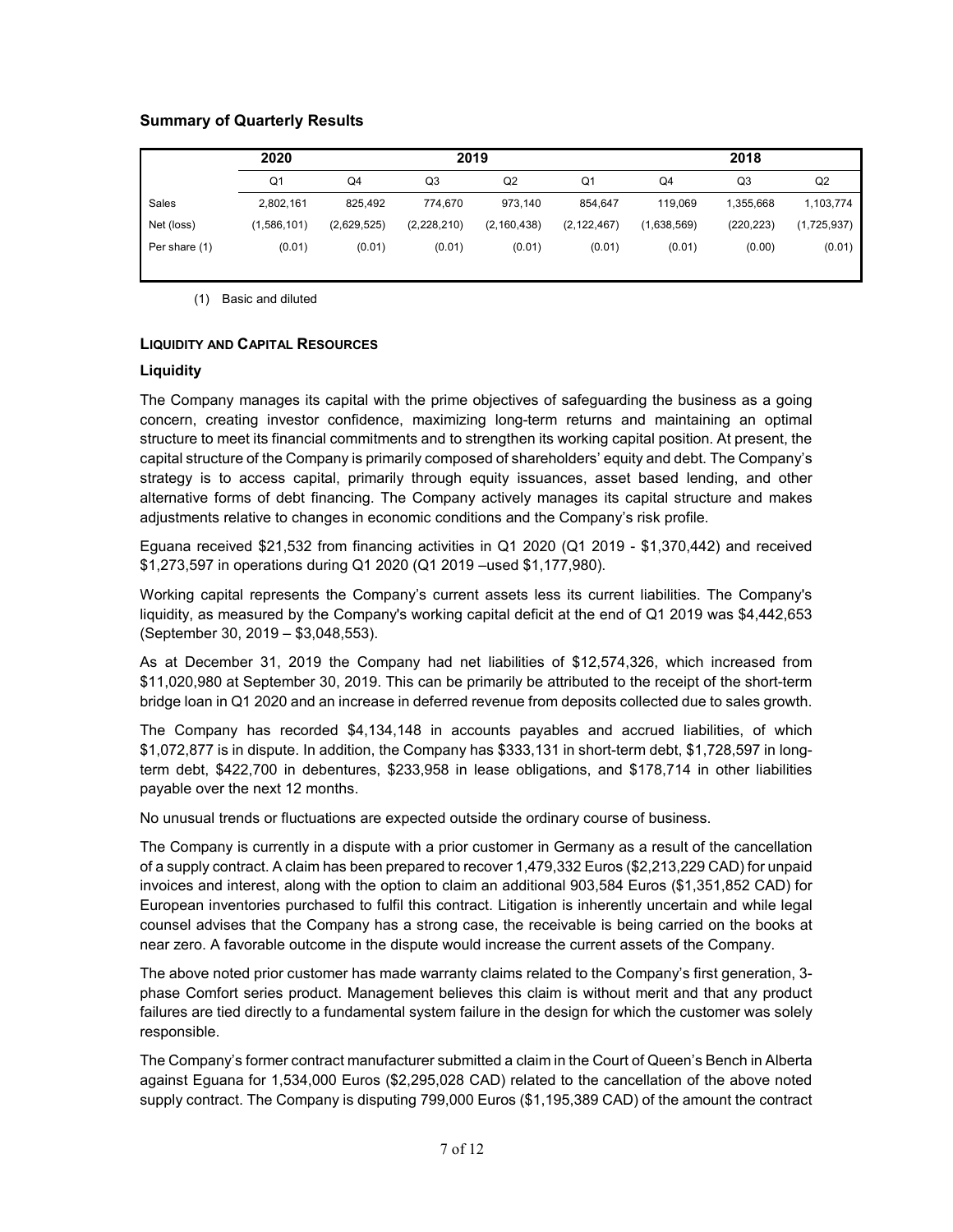# **Summary of Quarterly Results**

|               | 2020           |             | 2019        |                |                | 2018        |            |             |
|---------------|----------------|-------------|-------------|----------------|----------------|-------------|------------|-------------|
|               | Q <sub>1</sub> | Q4          | Q3          | Q <sub>2</sub> | Q <sub>1</sub> | Q4          | Q3         | Q2          |
| Sales         | 2,802,161      | 825.492     | 774.670     | 973.140        | 854.647        | 119.069     | 1.355.668  | 1,103,774   |
| Net (loss)    | (1,586,101)    | (2,629,525) | (2,228,210) | (2, 160, 438)  | (2, 122, 467)  | (1,638,569) | (220, 223) | (1,725,937) |
| Per share (1) | (0.01)         | (0.01)      | (0.01)      | (0.01)         | (0.01)         | (0.01)      | (0.00)     | (0.01)      |

(1) Basic and diluted

#### **LIQUIDITY AND CAPITAL RESOURCES**

#### **Liquidity**

The Company manages its capital with the prime objectives of safeguarding the business as a going concern, creating investor confidence, maximizing long-term returns and maintaining an optimal structure to meet its financial commitments and to strengthen its working capital position. At present, the capital structure of the Company is primarily composed of shareholders' equity and debt. The Company's strategy is to access capital, primarily through equity issuances, asset based lending, and other alternative forms of debt financing. The Company actively manages its capital structure and makes adjustments relative to changes in economic conditions and the Company's risk profile.

Eguana received \$21,532 from financing activities in Q1 2020 (Q1 2019 - \$1,370,442) and received \$1,273,597 in operations during Q1 2020 (Q1 2019 –used \$1,177,980).

Working capital represents the Company's current assets less its current liabilities. The Company's liquidity, as measured by the Company's working capital deficit at the end of Q1 2019 was \$4,442,653 (September 30, 2019 – \$3,048,553).

As at December 31, 2019 the Company had net liabilities of \$12,574,326, which increased from \$11,020,980 at September 30, 2019. This can be primarily be attributed to the receipt of the short-term bridge loan in Q1 2020 and an increase in deferred revenue from deposits collected due to sales growth.

The Company has recorded \$4,134,148 in accounts payables and accrued liabilities, of which \$1,072,877 is in dispute. In addition, the Company has \$333,131 in short-term debt, \$1,728,597 in longterm debt, \$422,700 in debentures, \$233,958 in lease obligations, and \$178,714 in other liabilities payable over the next 12 months.

No unusual trends or fluctuations are expected outside the ordinary course of business.

The Company is currently in a dispute with a prior customer in Germany as a result of the cancellation of a supply contract. A claim has been prepared to recover 1,479,332 Euros (\$2,213,229 CAD) for unpaid invoices and interest, along with the option to claim an additional 903,584 Euros (\$1,351,852 CAD) for European inventories purchased to fulfil this contract. Litigation is inherently uncertain and while legal counsel advises that the Company has a strong case, the receivable is being carried on the books at near zero. A favorable outcome in the dispute would increase the current assets of the Company.

The above noted prior customer has made warranty claims related to the Company's first generation, 3 phase Comfort series product. Management believes this claim is without merit and that any product failures are tied directly to a fundamental system failure in the design for which the customer was solely responsible.

The Company's former contract manufacturer submitted a claim in the Court of Queen's Bench in Alberta against Eguana for 1,534,000 Euros (\$2,295,028 CAD) related to the cancellation of the above noted supply contract. The Company is disputing 799,000 Euros (\$1,195,389 CAD) of the amount the contract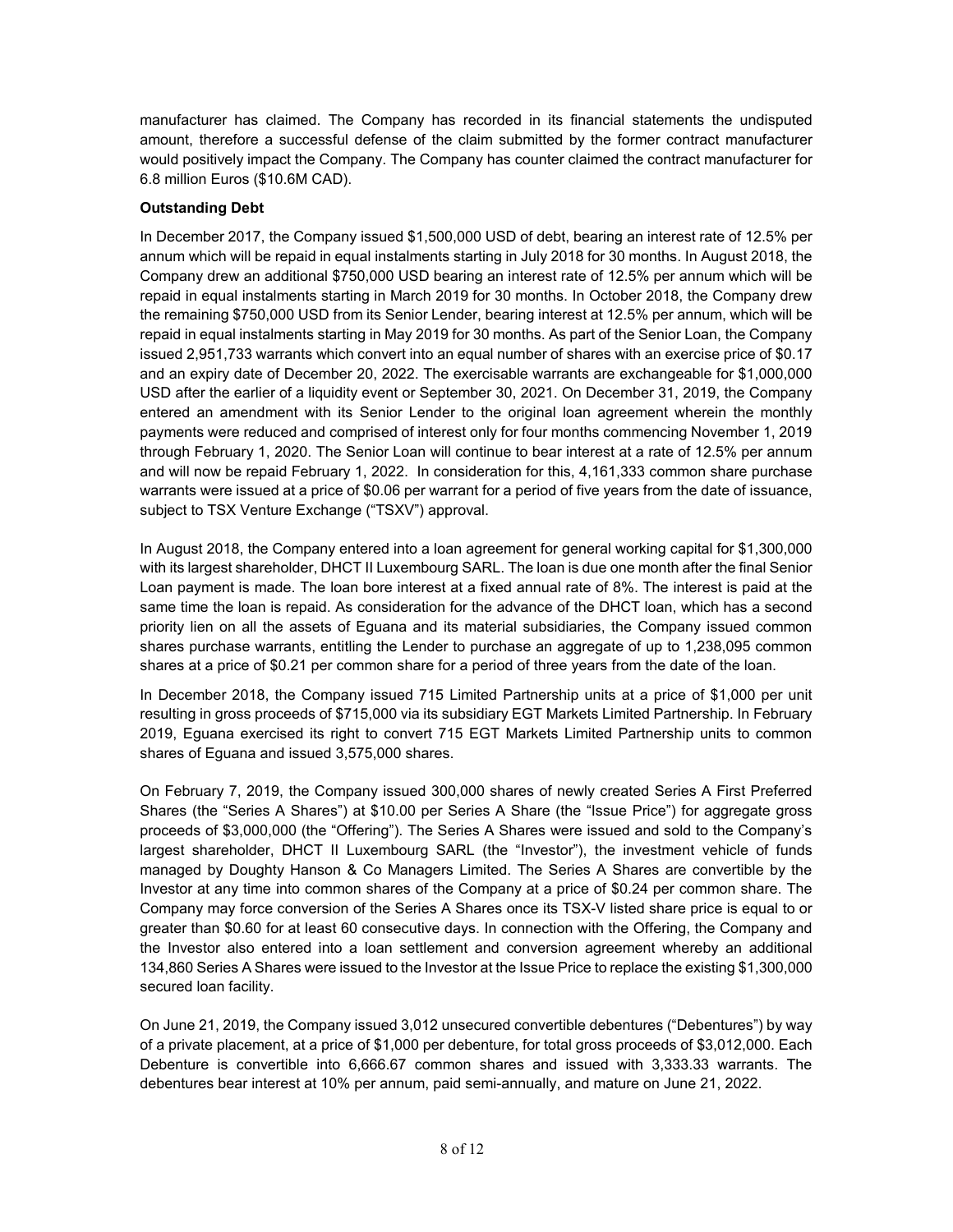manufacturer has claimed. The Company has recorded in its financial statements the undisputed amount, therefore a successful defense of the claim submitted by the former contract manufacturer would positively impact the Company. The Company has counter claimed the contract manufacturer for 6.8 million Euros (\$10.6M CAD).

# **Outstanding Debt**

In December 2017, the Company issued \$1,500,000 USD of debt, bearing an interest rate of 12.5% per annum which will be repaid in equal instalments starting in July 2018 for 30 months. In August 2018, the Company drew an additional \$750,000 USD bearing an interest rate of 12.5% per annum which will be repaid in equal instalments starting in March 2019 for 30 months. In October 2018, the Company drew the remaining \$750,000 USD from its Senior Lender, bearing interest at 12.5% per annum, which will be repaid in equal instalments starting in May 2019 for 30 months. As part of the Senior Loan, the Company issued 2,951,733 warrants which convert into an equal number of shares with an exercise price of \$0.17 and an expiry date of December 20, 2022. The exercisable warrants are exchangeable for \$1,000,000 USD after the earlier of a liquidity event or September 30, 2021. On December 31, 2019, the Company entered an amendment with its Senior Lender to the original loan agreement wherein the monthly payments were reduced and comprised of interest only for four months commencing November 1, 2019 through February 1, 2020. The Senior Loan will continue to bear interest at a rate of 12.5% per annum and will now be repaid February 1, 2022. In consideration for this, 4,161,333 common share purchase warrants were issued at a price of \$0.06 per warrant for a period of five years from the date of issuance, subject to TSX Venture Exchange ("TSXV") approval.

In August 2018, the Company entered into a loan agreement for general working capital for \$1,300,000 with its largest shareholder, DHCT II Luxembourg SARL. The loan is due one month after the final Senior Loan payment is made. The loan bore interest at a fixed annual rate of 8%. The interest is paid at the same time the loan is repaid. As consideration for the advance of the DHCT loan, which has a second priority lien on all the assets of Eguana and its material subsidiaries, the Company issued common shares purchase warrants, entitling the Lender to purchase an aggregate of up to 1,238,095 common shares at a price of \$0.21 per common share for a period of three years from the date of the loan.

In December 2018, the Company issued 715 Limited Partnership units at a price of \$1,000 per unit resulting in gross proceeds of \$715,000 via its subsidiary EGT Markets Limited Partnership. In February 2019, Eguana exercised its right to convert 715 EGT Markets Limited Partnership units to common shares of Eguana and issued 3,575,000 shares.

On February 7, 2019, the Company issued 300,000 shares of newly created Series A First Preferred Shares (the "Series A Shares") at \$10.00 per Series A Share (the "Issue Price") for aggregate gross proceeds of \$3,000,000 (the "Offering"). The Series A Shares were issued and sold to the Company's largest shareholder, DHCT II Luxembourg SARL (the "Investor"), the investment vehicle of funds managed by Doughty Hanson & Co Managers Limited. The Series A Shares are convertible by the Investor at any time into common shares of the Company at a price of \$0.24 per common share. The Company may force conversion of the Series A Shares once its TSX-V listed share price is equal to or greater than \$0.60 for at least 60 consecutive days. In connection with the Offering, the Company and the Investor also entered into a loan settlement and conversion agreement whereby an additional 134,860 Series A Shares were issued to the Investor at the Issue Price to replace the existing \$1,300,000 secured loan facility.

On June 21, 2019, the Company issued 3,012 unsecured convertible debentures ("Debentures") by way of a private placement, at a price of \$1,000 per debenture, for total gross proceeds of \$3,012,000. Each Debenture is convertible into 6,666.67 common shares and issued with 3,333.33 warrants. The debentures bear interest at 10% per annum, paid semi-annually, and mature on June 21, 2022.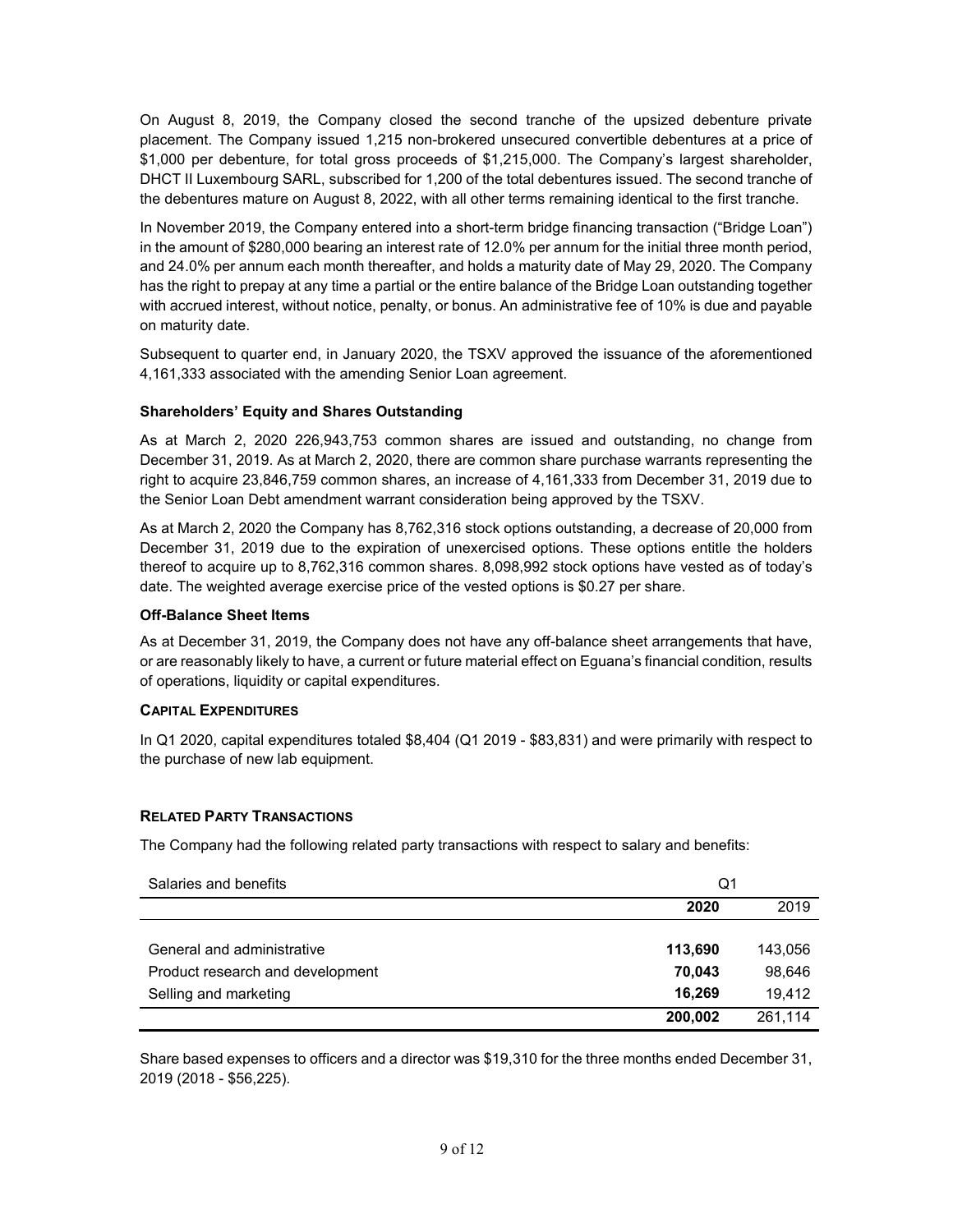On August 8, 2019, the Company closed the second tranche of the upsized debenture private placement. The Company issued 1,215 non-brokered unsecured convertible debentures at a price of \$1,000 per debenture, for total gross proceeds of \$1,215,000. The Company's largest shareholder, DHCT II Luxembourg SARL, subscribed for 1,200 of the total debentures issued. The second tranche of the debentures mature on August 8, 2022, with all other terms remaining identical to the first tranche.

In November 2019, the Company entered into a short-term bridge financing transaction ("Bridge Loan") in the amount of \$280,000 bearing an interest rate of 12.0% per annum for the initial three month period, and 24.0% per annum each month thereafter, and holds a maturity date of May 29, 2020. The Company has the right to prepay at any time a partial or the entire balance of the Bridge Loan outstanding together with accrued interest, without notice, penalty, or bonus. An administrative fee of 10% is due and payable on maturity date.

Subsequent to quarter end, in January 2020, the TSXV approved the issuance of the aforementioned 4,161,333 associated with the amending Senior Loan agreement.

# **Shareholders' Equity and Shares Outstanding**

As at March 2, 2020 226,943,753 common shares are issued and outstanding, no change from December 31, 2019. As at March 2, 2020, there are common share purchase warrants representing the right to acquire 23,846,759 common shares, an increase of 4,161,333 from December 31, 2019 due to the Senior Loan Debt amendment warrant consideration being approved by the TSXV.

As at March 2, 2020 the Company has 8,762,316 stock options outstanding, a decrease of 20,000 from December 31, 2019 due to the expiration of unexercised options. These options entitle the holders thereof to acquire up to 8,762,316 common shares. 8,098,992 stock options have vested as of today's date. The weighted average exercise price of the vested options is \$0.27 per share.

## **Off-Balance Sheet Items**

As at December 31, 2019, the Company does not have any off-balance sheet arrangements that have, or are reasonably likely to have, a current or future material effect on Eguana's financial condition, results of operations, liquidity or capital expenditures.

#### **CAPITAL EXPENDITURES**

In Q1 2020, capital expenditures totaled \$8,404 (Q1 2019 - \$83,831) and were primarily with respect to the purchase of new lab equipment.

# **RELATED PARTY TRANSACTIONS**

The Company had the following related party transactions with respect to salary and benefits:

| Salaries and benefits            | Q1      |         |
|----------------------------------|---------|---------|
|                                  | 2020    | 2019    |
|                                  |         |         |
| General and administrative       | 113,690 | 143,056 |
| Product research and development | 70.043  | 98,646  |
| Selling and marketing            | 16.269  | 19.412  |
|                                  | 200,002 | 261.114 |

Share based expenses to officers and a director was \$19,310 for the three months ended December 31, 2019 (2018 - \$56,225).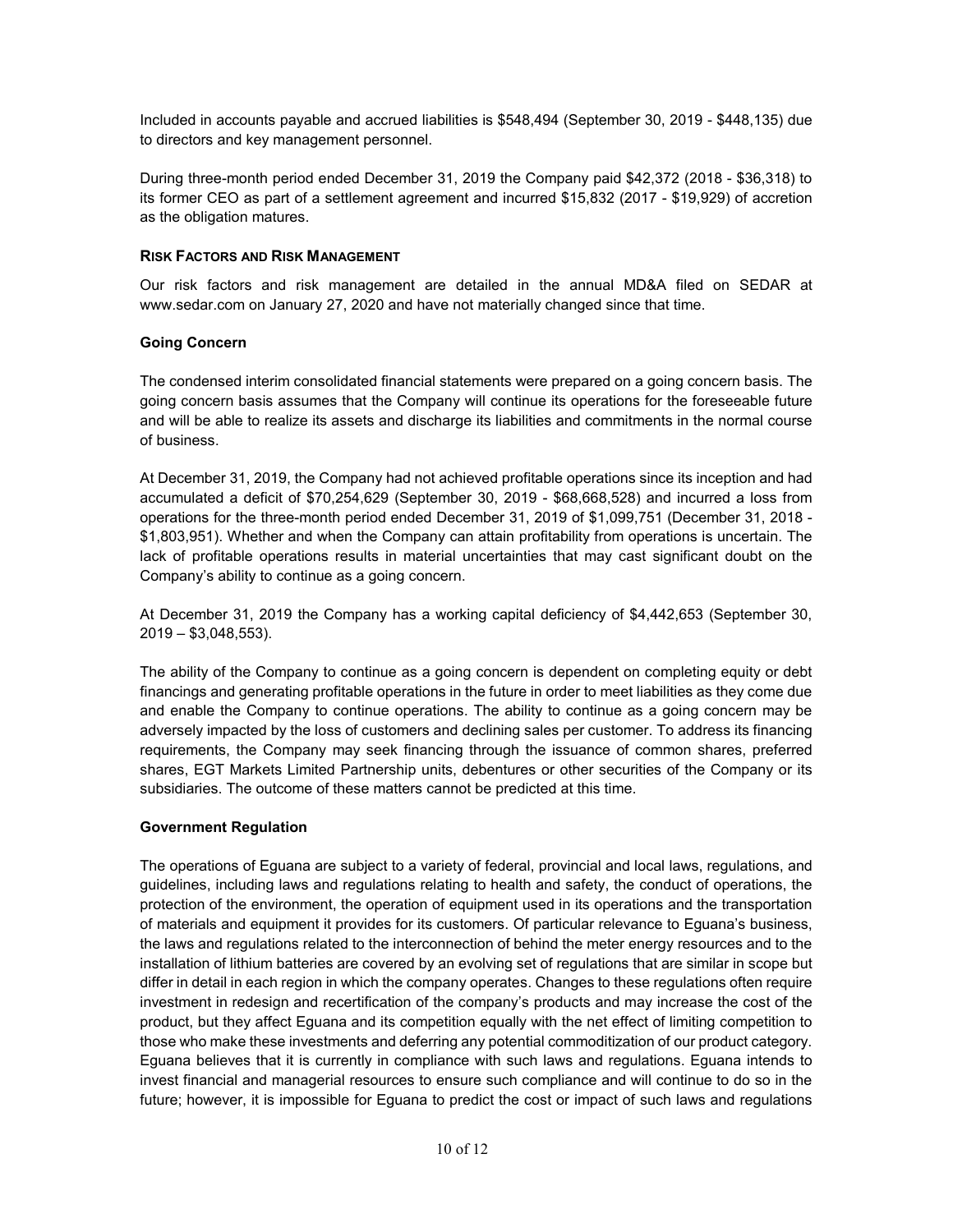Included in accounts payable and accrued liabilities is \$548,494 (September 30, 2019 - \$448,135) due to directors and key management personnel.

During three-month period ended December 31, 2019 the Company paid \$42,372 (2018 - \$36,318) to its former CEO as part of a settlement agreement and incurred \$15,832 (2017 - \$19,929) of accretion as the obligation matures.

# **RISK FACTORS AND RISK MANAGEMENT**

Our risk factors and risk management are detailed in the annual MD&A filed on SEDAR at [www.sedar.com](http://www.sedar.com/) on January 27, 2020 and have not materially changed since that time.

# **Going Concern**

The condensed interim consolidated financial statements were prepared on a going concern basis. The going concern basis assumes that the Company will continue its operations for the foreseeable future and will be able to realize its assets and discharge its liabilities and commitments in the normal course of business.

At December 31, 2019, the Company had not achieved profitable operations since its inception and had accumulated a deficit of \$70,254,629 (September 30, 2019 - \$68,668,528) and incurred a loss from operations for the three-month period ended December 31, 2019 of \$1,099,751 (December 31, 2018 - \$1,803,951). Whether and when the Company can attain profitability from operations is uncertain. The lack of profitable operations results in material uncertainties that may cast significant doubt on the Company's ability to continue as a going concern.

At December 31, 2019 the Company has a working capital deficiency of \$4,442,653 (September 30, 2019 – \$3,048,553).

The ability of the Company to continue as a going concern is dependent on completing equity or debt financings and generating profitable operations in the future in order to meet liabilities as they come due and enable the Company to continue operations. The ability to continue as a going concern may be adversely impacted by the loss of customers and declining sales per customer. To address its financing requirements, the Company may seek financing through the issuance of common shares, preferred shares, EGT Markets Limited Partnership units, debentures or other securities of the Company or its subsidiaries. The outcome of these matters cannot be predicted at this time.

#### **Government Regulation**

The operations of Eguana are subject to a variety of federal, provincial and local laws, regulations, and guidelines, including laws and regulations relating to health and safety, the conduct of operations, the protection of the environment, the operation of equipment used in its operations and the transportation of materials and equipment it provides for its customers. Of particular relevance to Eguana's business, the laws and regulations related to the interconnection of behind the meter energy resources and to the installation of lithium batteries are covered by an evolving set of regulations that are similar in scope but differ in detail in each region in which the company operates. Changes to these regulations often require investment in redesign and recertification of the company's products and may increase the cost of the product, but they affect Eguana and its competition equally with the net effect of limiting competition to those who make these investments and deferring any potential commoditization of our product category. Eguana believes that it is currently in compliance with such laws and regulations. Eguana intends to invest financial and managerial resources to ensure such compliance and will continue to do so in the future; however, it is impossible for Eguana to predict the cost or impact of such laws and regulations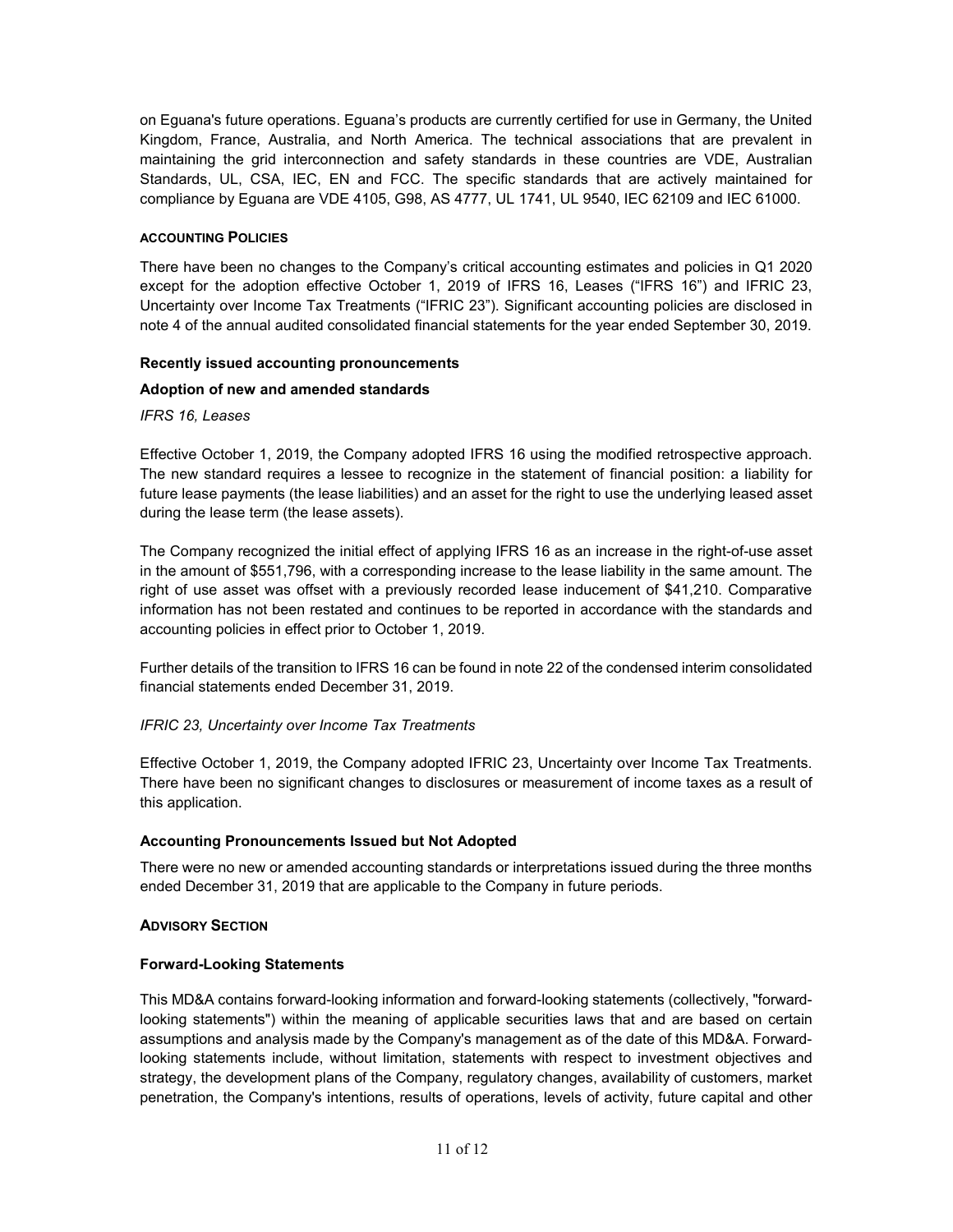on Eguana's future operations. Eguana's products are currently certified for use in Germany, the United Kingdom, France, Australia, and North America. The technical associations that are prevalent in maintaining the grid interconnection and safety standards in these countries are VDE, Australian Standards, UL, CSA, IEC, EN and FCC. The specific standards that are actively maintained for compliance by Eguana are VDE 4105, G98, AS 4777, UL 1741, UL 9540, IEC 62109 and IEC 61000.

## **ACCOUNTING POLICIES**

There have been no changes to the Company's critical accounting estimates and policies in Q1 2020 except for the adoption effective October 1, 2019 of IFRS 16, Leases ("IFRS 16") and IFRIC 23, Uncertainty over Income Tax Treatments ("IFRIC 23"). Significant accounting policies are disclosed in note 4 of the annual audited consolidated financial statements for the year ended September 30, 2019.

# **Recently issued accounting pronouncements**

# **Adoption of new and amended standards**

*IFRS 16, Leases* 

Effective October 1, 2019, the Company adopted IFRS 16 using the modified retrospective approach. The new standard requires a lessee to recognize in the statement of financial position: a liability for future lease payments (the lease liabilities) and an asset for the right to use the underlying leased asset during the lease term (the lease assets).

The Company recognized the initial effect of applying IFRS 16 as an increase in the right-of-use asset in the amount of \$551,796, with a corresponding increase to the lease liability in the same amount. The right of use asset was offset with a previously recorded lease inducement of \$41,210. Comparative information has not been restated and continues to be reported in accordance with the standards and accounting policies in effect prior to October 1, 2019.

Further details of the transition to IFRS 16 can be found in note 22 of the condensed interim consolidated financial statements ended December 31, 2019.

# *IFRIC 23, Uncertainty over Income Tax Treatments*

Effective October 1, 2019, the Company adopted IFRIC 23, Uncertainty over Income Tax Treatments. There have been no significant changes to disclosures or measurement of income taxes as a result of this application.

# **Accounting Pronouncements Issued but Not Adopted**

There were no new or amended accounting standards or interpretations issued during the three months ended December 31, 2019 that are applicable to the Company in future periods.

#### **ADVISORY SECTION**

#### **Forward-Looking Statements**

This MD&A contains forward-looking information and forward-looking statements (collectively, "forwardlooking statements") within the meaning of applicable securities laws that and are based on certain assumptions and analysis made by the Company's management as of the date of this MD&A. Forwardlooking statements include, without limitation, statements with respect to investment objectives and strategy, the development plans of the Company, regulatory changes, availability of customers, market penetration, the Company's intentions, results of operations, levels of activity, future capital and other